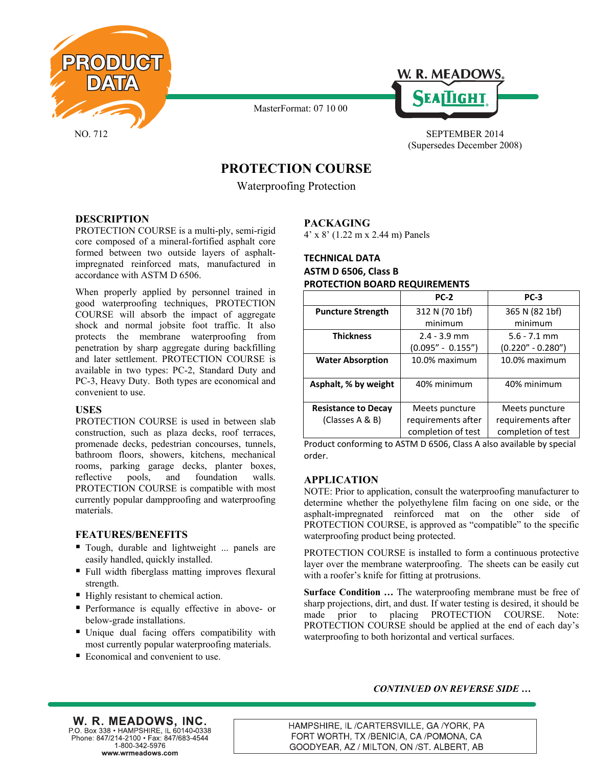

MasterFormat: 07 10 00



NO. 712 SEPTEMBER 2014 (Supersedes December 2008)

# **PROTECTION COURSE**

Waterproofing Protection

## **DESCRIPTION**

PROTECTION COURSE is a multi-ply, semi-rigid core composed of a mineral-fortified asphalt core formed between two outside layers of asphaltimpregnated reinforced mats, manufactured in accordance with ASTM D 6506.

When properly applied by personnel trained in good waterproofing techniques, PROTECTION COURSE will absorb the impact of aggregate shock and normal jobsite foot traffic. It also protects the membrane waterproofing from penetration by sharp aggregate during backfilling and later settlement. PROTECTION COURSE is available in two types: PC-2, Standard Duty and PC-3, Heavy Duty. Both types are economical and convenient to use.

#### **USES**

PROTECTION COURSE is used in between slab construction, such as plaza decks, roof terraces, promenade decks, pedestrian concourses, tunnels, bathroom floors, showers, kitchens, mechanical rooms, parking garage decks, planter boxes, reflective pools, and foundation walls. PROTECTION COURSE is compatible with most currently popular dampproofing and waterproofing materials.

#### **FEATURES/BENEFITS**

- Tough, durable and lightweight ... panels are easily handled, quickly installed.
- Full width fiberglass matting improves flexural strength.
- $\blacksquare$  Highly resistant to chemical action.
- **Performance is equally effective in above- or** below-grade installations.
- Unique dual facing offers compatibility with most currently popular waterproofing materials.
- Economical and convenient to use.

## **PACKAGING**

4' x 8' (1.22 m x 2.44 m) Panels

## **TECHNICAL DATA ASTM D 6506, Class B PROTECTION BOARD REQUIREMENTS**

|                            | <b>PC-2</b>         | $PC-3$              |
|----------------------------|---------------------|---------------------|
| <b>Puncture Strength</b>   | 312 N (70 1bf)      | 365 N (82 1bf)      |
|                            | minimum             | minimum             |
| <b>Thickness</b>           | $2.4 - 3.9$ mm      | $5.6 - 7.1$ mm      |
|                            | $(0.095" - 0.155")$ | $(0.220" - 0.280")$ |
| <b>Water Absorption</b>    | 10.0% maximum       | 10.0% maximum       |
|                            |                     |                     |
| Asphalt, % by weight       | 40% minimum         | 40% minimum         |
|                            |                     |                     |
| <b>Resistance to Decay</b> | Meets puncture      | Meets puncture      |
| (Classes A & B)            | requirements after  | requirements after  |
|                            | completion of test  | completion of test  |

Product conforming to ASTM D 6506, Class A also available by special order.

## **APPLICATION**

NOTE: Prior to application, consult the waterproofing manufacturer to determine whether the polyethylene film facing on one side, or the asphalt-impregnated reinforced mat on the other side of PROTECTION COURSE, is approved as "compatible" to the specific waterproofing product being protected.

PROTECTION COURSE is installed to form a continuous protective layer over the membrane waterproofing. The sheets can be easily cut with a roofer's knife for fitting at protrusions.

**Surface Condition ...** The waterproofing membrane must be free of sharp projections, dirt, and dust. If water testing is desired, it should be made prior to placing PROTECTION COURSE. Note: PROTECTION COURSE should be applied at the end of each day's waterproofing to both horizontal and vertical surfaces.

#### *CONTINUED ON REVERSE SIDE …*

W. R. MEADOWS, INC. P.O. Box 338 · HAMPSHIRE, IL 60140-0338 Phone: 847/214-2100 · Fax: 847/683-4544  $1 - 800 - 342 - 5976$ www.wrmeadows.com

HAMPSHIRE, IL /CARTERSVILLE, GA /YORK, PA FORT WORTH, TX /BENICIA, CA /POMONA, CA GOODYEAR, AZ / MILTON, ON /ST. ALBERT, AB